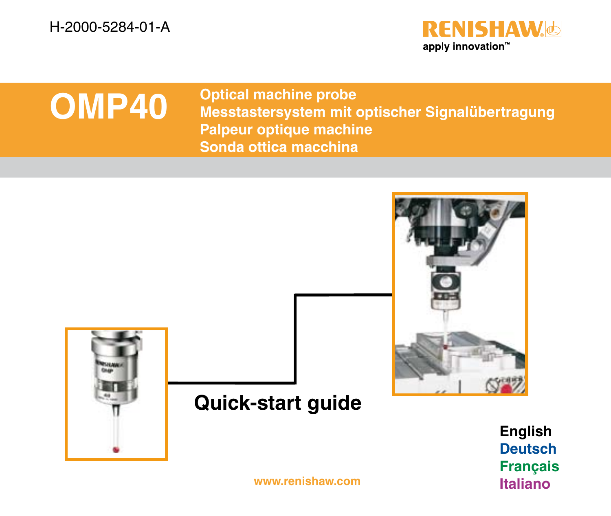H-2000-5284-01-A



# **OMP40**

**Optical machine probe Messtastersystem mit optischer Signalübertragung Palpeur optique machine Sonda ottica macchina**



**<www.renishaw.com> Italiano**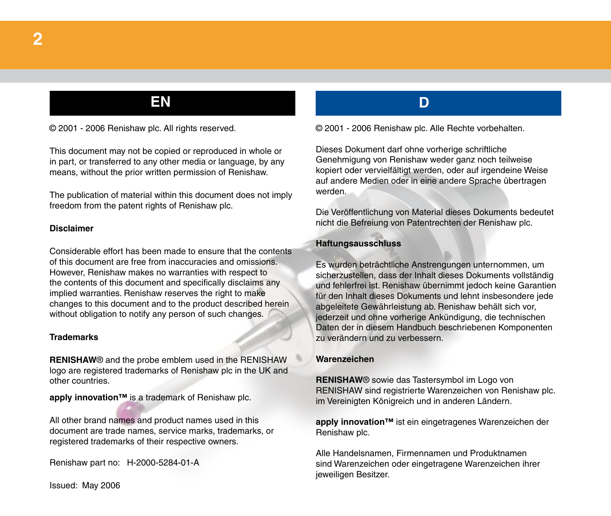## **2**

### **EN D**

© 2001 - 2006 Renishaw plc. All rights reserved.

This document may not be copied or reproduced in whole or in part, or transferred to any other media or language, by any means, without the prior written permission of Renishaw.

The publication of material within this document does not imply freedom from the patent rights of Renishaw plc.

#### **Disclaimer**

Considerable effort has been made to ensure that the contents of this document are free from inaccuracies and omissions. However, Renishaw makes no warranties with respect to the contents of this document and specifically disclaims any implied warranties. Renishaw reserves the right to make changes to this document and to the product described herein without obligation to notify any person of such changes.

#### **Trademarks**

**RENISHAW**® and the probe emblem used in the RENISHAW logo are registered trademarks of Renishaw plc in the UK and other countries.

**apply innovation™** is a trademark of Renishaw plc.

All other brand names and product names used in this document are trade names, service marks, trademarks, or registered trademarks of their respective owners.

Renishaw part no: H-2000-5284-01-A

#### Issued: May 2006

© 2001 - 2006 Renishaw plc. Alle Rechte vorbehalten.

Dieses Dokument darf ohne vorherige schriftliche Genehmigung von Renishaw weder ganz noch teilweise kopiert oder vervielfältigt werden, oder auf irgendeine Weise auf andere Medien oder in eine andere Sprache übertragen werden.

Die Veröffentlichung von Material dieses Dokuments bedeutet nicht die Befreiung von Patentrechten der Renishaw plc.

#### **Haftungsausschluss**

Es wurden beträchtliche Anstrengungen unternommen, um sicherzustellen, dass der Inhalt dieses Dokuments vollständig und fehlerfrei ist. Renishaw übernimmt jedoch keine Garantien für den Inhalt dieses Dokuments und lehnt insbesondere jede abgeleitete Gewährleistung ab. Renishaw behält sich vor, jederzeit und ohne vorherige Ankündigung, die technischen Daten der in diesem Handbuch beschriebenen Komponenten zu verändern und zu verbessern.

#### **Warenzeichen**

**RENISHAW**® sowie das Tastersymbol im Logo von RENISHAW sind registrierte Warenzeichen von Renishaw plc. im Vereinigten Königreich und in anderen Ländern.

**apply innovation™** ist ein eingetragenes Warenzeichen der Renishaw plc.

Alle Handelsnamen, Firmennamen und Produktnamen sind Warenzeichen oder eingetragene Warenzeichen ihrer jeweiligen Besitzer.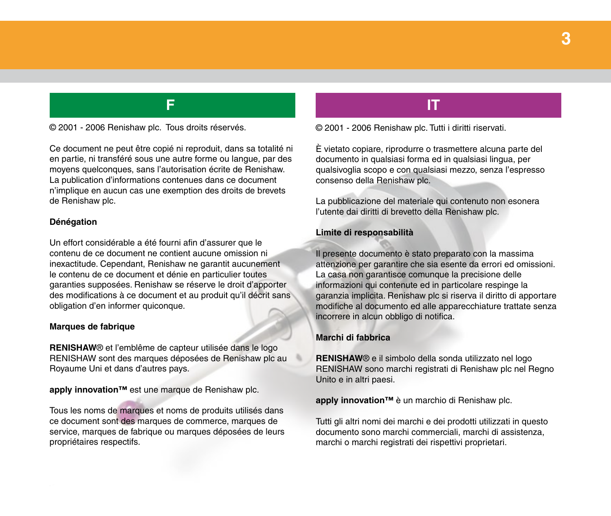### **3**

© 2001 - 2006 Renishaw plc. Tous droits réservés.

Ce document ne peut être copié ni reproduit, dans sa totalité ni en partie, ni transféré sous une autre forme ou langue, par des moyens quelconques, sans l'autorisation écrite de Renishaw. La publication d'informations contenues dans ce document n'implique en aucun cas une exemption des droits de brevets de Renishaw plc.

#### **Dénégation**

Un effort considérable a été fourni afin d'assurer que le contenu de ce document ne contient aucune omission ni inexactitude. Cependant, Renishaw ne garantit aucunement le contenu de ce document et dénie en particulier toutes garanties supposées. Renishaw se réserve le droit d'apporter des modifications à ce document et au produit qu'il décrit sans obligation d'en informer quiconque.

#### **Marques de fabrique**

**RENISHAW**® et l'emblême de capteur utilisée dans le logo RENISHAW sont des marques déposées de Renishaw plc au Royaume Uni et dans d'autres pays.

**apply innovation™** est une marque de Renishaw plc.

Tous les noms de marques et noms de produits utilisés dans ce document sont des marques de commerce, marques de service, marques de fabrique ou marques déposées de leurs propriétaires respectifs.

### **F IT**

© 2001 - 2006 Renishaw plc. Tutti i diritti riservati.

È vietato copiare, riprodurre o trasmettere alcuna parte del documento in qualsiasi forma ed in qualsiasi lingua, per qualsivoglia scopo e con qualsiasi mezzo, senza l'espresso consenso della Renishaw plc.

La pubblicazione del materiale qui contenuto non esonera l'utente dai diritti di brevetto della Renishaw plc.

#### **Limite di responsabilità**

Il presente documento è stato preparato con la massima attenzione per garantire che sia esente da errori ed omissioni. La casa non garantisce comunque la precisione delle informazioni qui contenute ed in particolare respinge la garanzia implicita. Renishaw plc si riserva il diritto di apportare modifiche al documento ed alle apparecchiature trattate senza incorrere in alcun obbligo di notifica.

#### **Marchi di fabbrica**

**RENISHAW**® e il simbolo della sonda utilizzato nel logo RENISHAW sono marchi registrati di Renishaw plc nel Regno Unito e in altri paesi.

**apply innovation™** è un marchio di Renishaw plc.

Tutti gli altri nomi dei marchi e dei prodotti utilizzati in questo documento sono marchi commerciali, marchi di assistenza, marchi o marchi registrati dei rispettivi proprietari.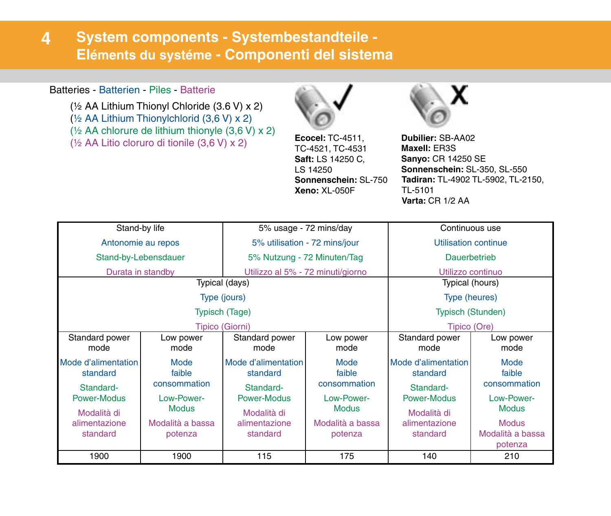#### **System components - Systembestandteile - Eléments du systéme - Componenti del sistema 4**

### Batteries - Batterien - Piles - Batterie

(½ AA Lithium Thionyl Chloride (3.6 V) x 2) (½ AA Lithium Thionylchlorid (3,6 V) x 2) (½ AA chlorure de lithium thionyle (3,6 V) x 2) ( $\frac{1}{2}$  AA Litio cloruro di tionile (3.6 V) x 2) **Ecocel:** TC-4511,  $\frac{1}{2}$  AA Litio cloruro di tionile (3.6 V) x 2)



TC-4521, TC-4531 **Saft:** LS 14250 C, LS 14250 **Sonnenschein:** SL-750 **Xeno:** XL-050F



**Dubilier:** SB-AA02 **Maxell:** ER3S **Sanyo:** CR 14250 SE **Sonnenschein:** SL-350, SL-550 **Tadiran:** TL-4902 TL-5902, TL-2150, TL-5101 **Varta:** CR 1/2 AA

| Stand-by life                                |                                | 5% usage - 72 mins/day                       |                                | Continuous use                               |                                             |
|----------------------------------------------|--------------------------------|----------------------------------------------|--------------------------------|----------------------------------------------|---------------------------------------------|
| Antonomie au repos                           |                                | 5% utilisation - 72 mins/jour                |                                | Utilisation continue                         |                                             |
| Stand-by-Lebensdauer                         |                                | 5% Nutzung - 72 Minuten/Tag                  |                                | Dauerbetrieb                                 |                                             |
| Durata in standby                            |                                | Utilizzo al 5% - 72 minuti/giorno            |                                | Utilizzo continuo                            |                                             |
| Typical (days)                               |                                |                                              |                                | Typical (hours)                              |                                             |
| Type (jours)                                 |                                |                                              |                                | Type (heures)                                |                                             |
| <b>Typisch (Tage)</b>                        |                                |                                              |                                | <b>Typisch (Stunden)</b>                     |                                             |
| Tipico (Giorni)                              |                                |                                              |                                | Tipico (Ore)                                 |                                             |
| Standard power<br>mode                       | Low power<br>mode              | Standard power<br>mode                       | Low power<br>mode              | Standard power<br>mode                       | Low power<br>mode                           |
| Mode d'alimentation<br>standard<br>Standard- | Mode<br>faible<br>consommation | Mode d'alimentation<br>standard<br>Standard- | Mode<br>faible<br>consommation | Mode d'alimentation<br>standard<br>Standard- | Mode<br>faible<br>consommation              |
| Power-Modus<br>Modalità di                   | Low-Power-<br><b>Modus</b>     | Power-Modus<br>Modalità di                   | Low-Power-<br>Modus            | Power-Modus<br>Modalità di                   | Low-Power-<br><b>Modus</b>                  |
| alimentazione<br>standard                    | Modalità a bassa<br>potenza    | alimentazione<br>standard                    | Modalità a bassa<br>potenza    | alimentazione<br>standard                    | <b>Modus</b><br>Modalità a bassa<br>potenza |
| 1900                                         | 1900                           | 115                                          | 175                            | 140                                          | 210                                         |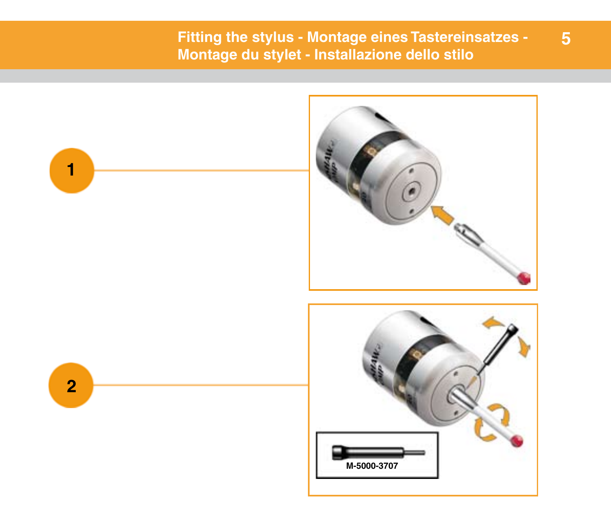### **Fitting the stylus - Montage eines Tastereinsatzes - Montage du stylet - Installazione dello stilo**

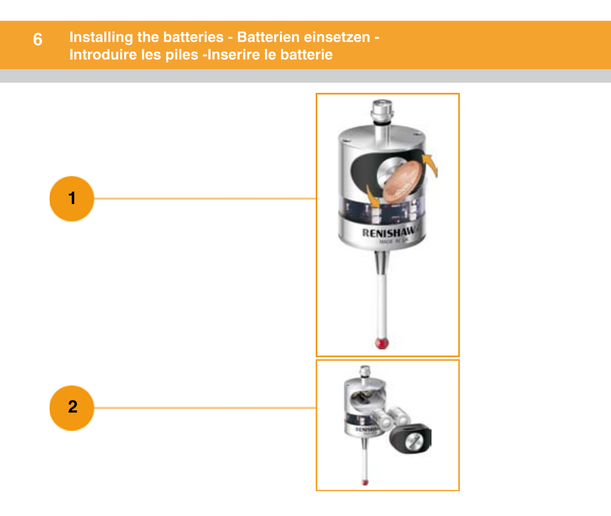#### **Installing the batteries - Batterien einsetzen - Introduire les piles -Inserire le batterie 6**

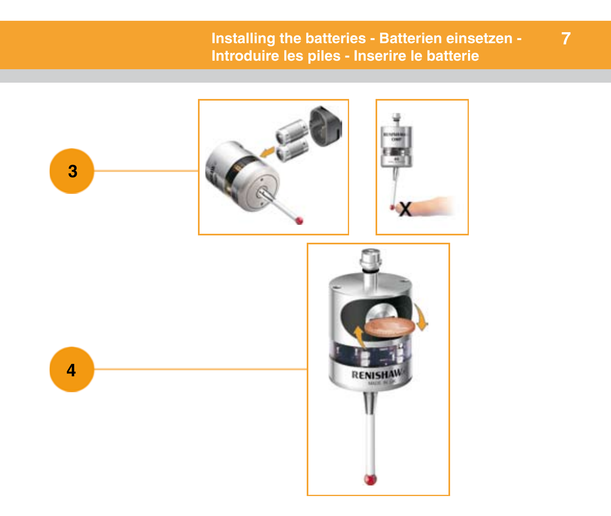### **Installing the batteries - Batterien einsetzen - Introduire les piles - Inserire le batterie**

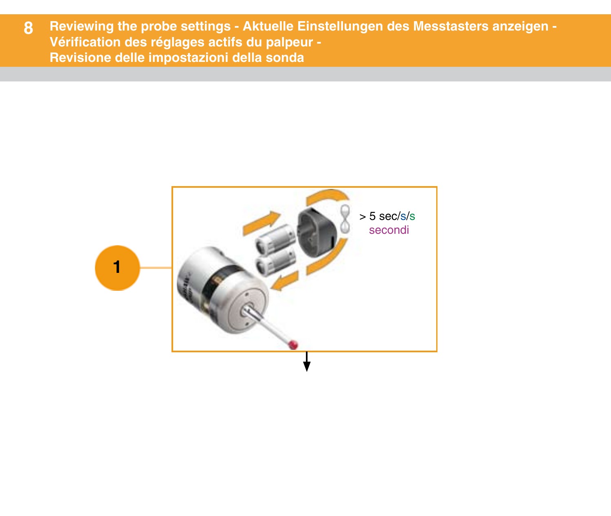**Reviewing the probe settings - Aktuelle Einstellungen des Messtasters anzeigen-Reviewing the probe settings - Aktuelle Einstellungen des Messtasters anzeigen - Vérification des réglages actifs du palpeur - Vérification des réglages actifs du palpeur - Revisione delle impostazioni della sonda Revisione delle impostazioni della sonda 8**

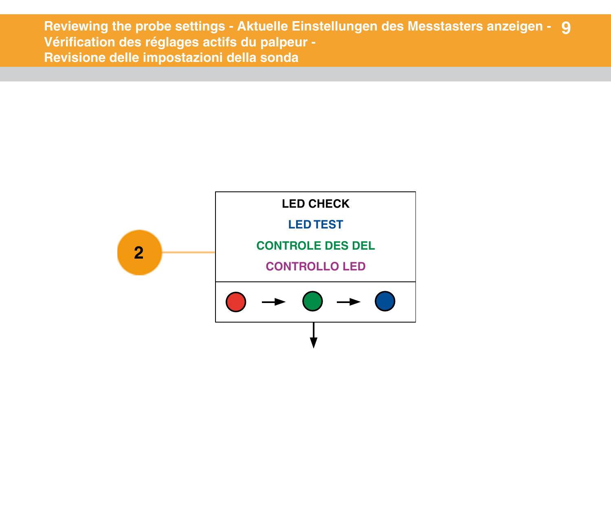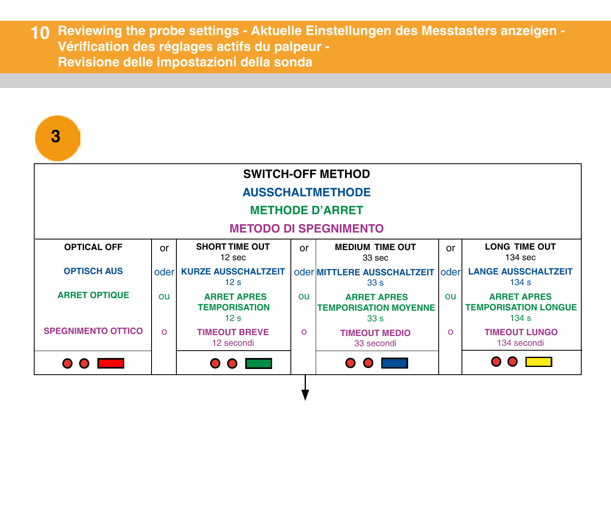**10** Reviewing the probe settings - Aktuelle Einstellungen des Messtasters anzeigen -**Vérification des réglages actifs du palpeur - Vérification des réglages actifs du palpeur - Revisione delle impostazioni della sonda Revisione delle impostazioni della sonda**

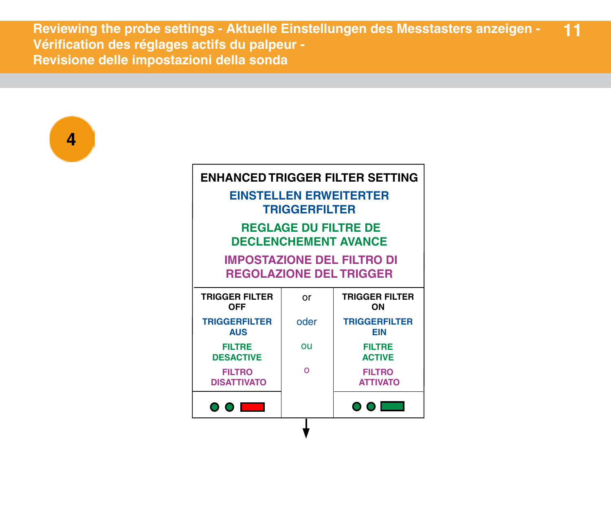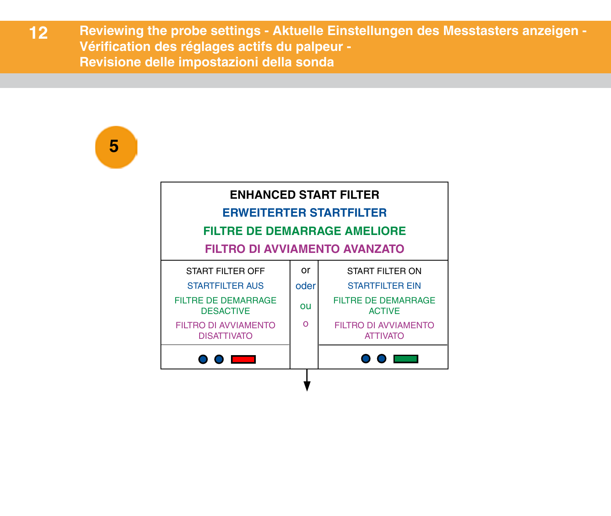**5**

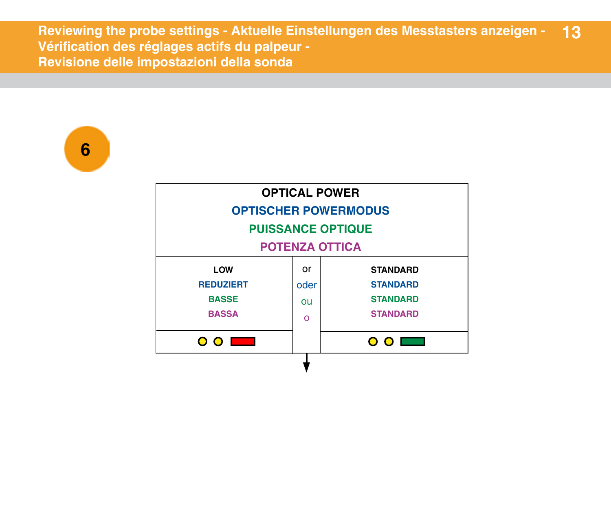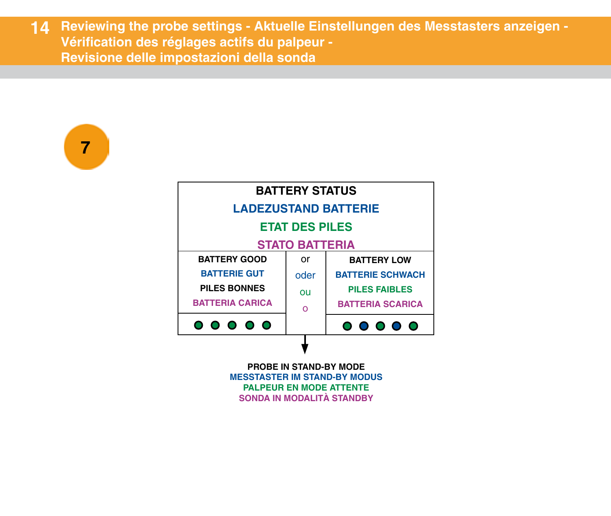



**SONDA IN MODALITÀ STANDBY**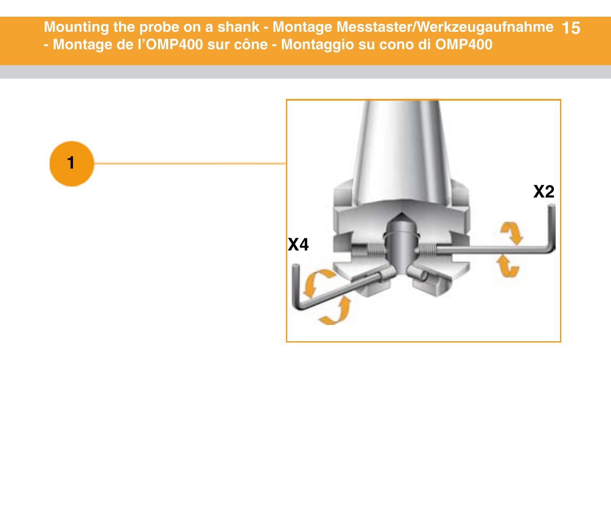**Mounting the probe on a shank - Montage Messtaster/Werkzeugaufnahme 15 - Montage de l'OMP400 sur cône - Montaggio su cono di OMP400**

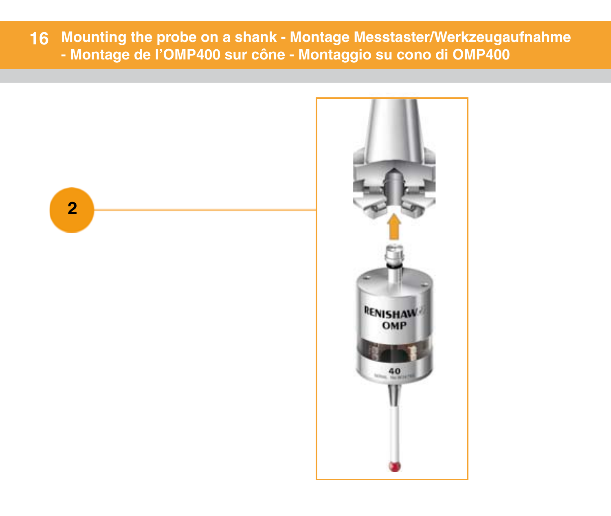**Mounting the probe on a shank - Montage Messtaster/Werkzeugaufnahme - Montage de l'OMP400 sur cône - Montaggio su cono di OMP400**

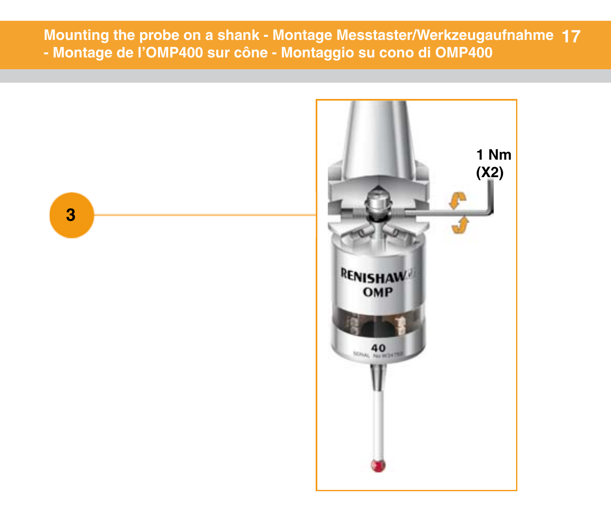**Mounting the probe on a shank - Montage Messtaster/Werkzeugaufnahme 17 - Montage de l'OMP400 sur cône - Montaggio su cono di OMP400**

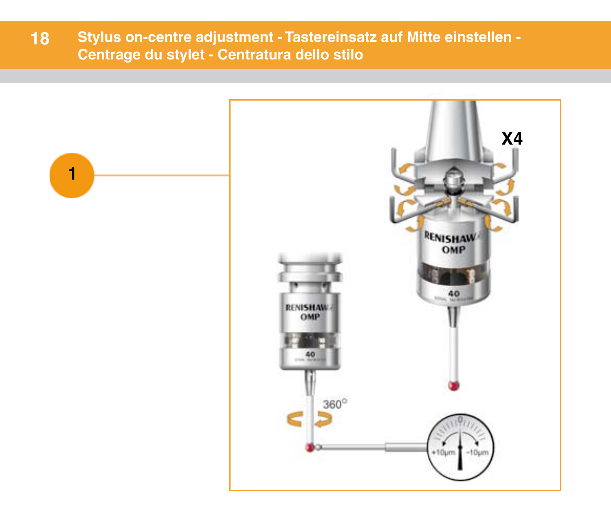**18 Stylus on-centre adjustment - Tastereinsatz auf Mitte einstellen - Centrage du stylet - Centratura dello stilo**

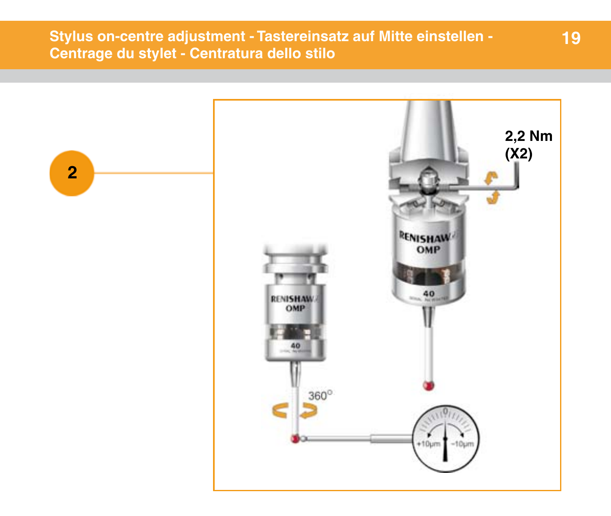**Stylus on-centre adjustment - Tastereinsatz auf Mitte einstellen - Centrage du stylet - Centratura dello stilo**



**19**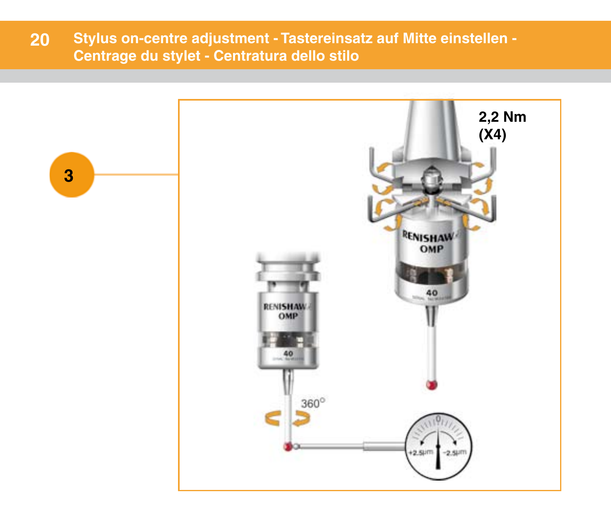**Stylus on-centre adjustment - Tastereinsatz auf Mitte einstellen - Centrage du stylet - Centratura dello stilo 20**

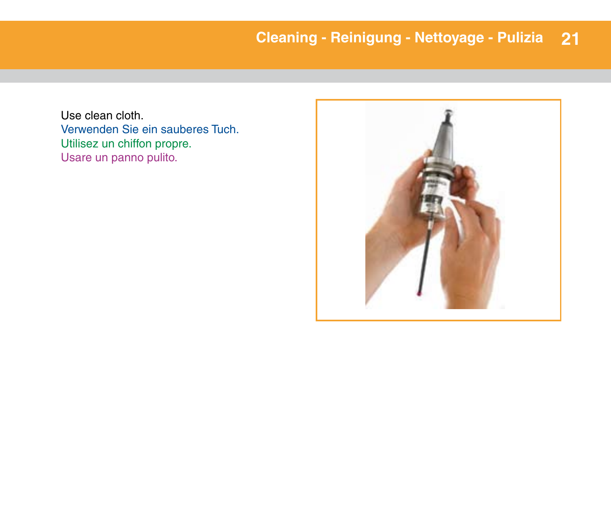Use clean cloth. Verwenden Sie ein sauberes Tuch. Utilisez un chiffon propre. Usare un panno pulito.

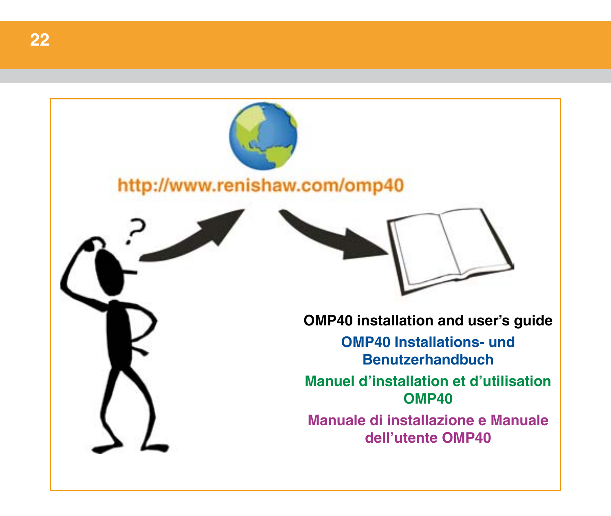# http://www.renishaw.com/omp40



**OMP40 installation and user's guide**

**OMP40 Installations- und Benutzerhandbuch**

**Manuel d'installation et d'utilisation OMP40**

**Manuale di installazione e Manuale dell'utente OMP40**